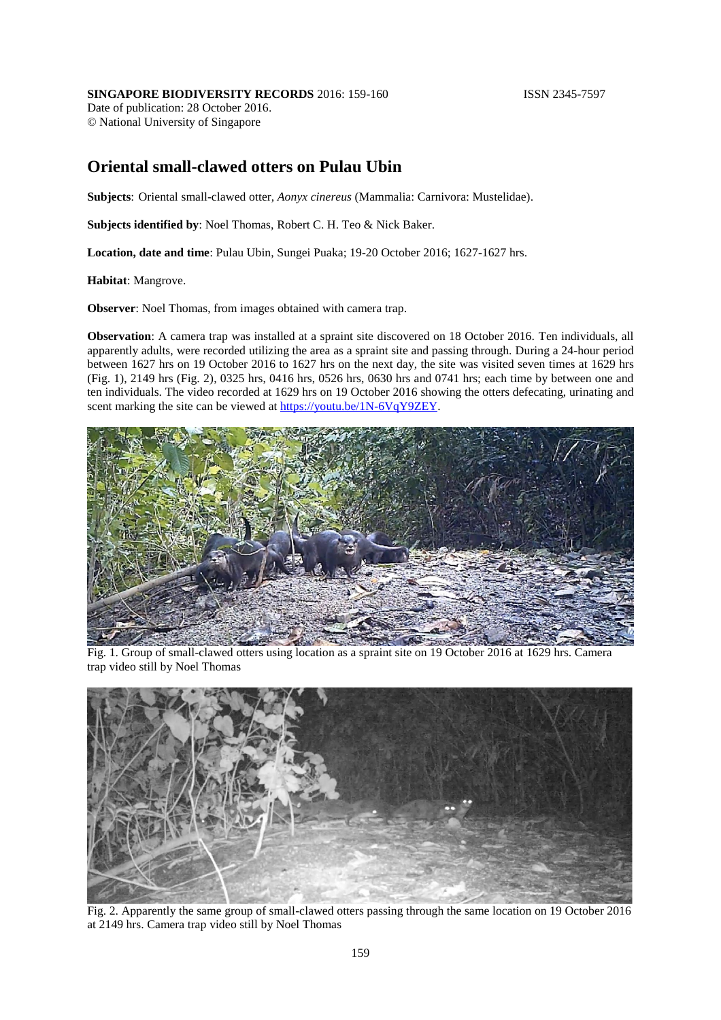## **SINGAPORE BIODIVERSITY RECORDS** 2016: 159-160 **ISSN 2345-7597**

Date of publication: 28 October 2016. © National University of Singapore

## **Oriental small-clawed otters on Pulau Ubin**

**Subjects**: Oriental small-clawed otter, *Aonyx cinereus* (Mammalia: Carnivora: Mustelidae).

**Subjects identified by**: Noel Thomas, Robert C. H. Teo & Nick Baker.

**Location, date and time**: Pulau Ubin, Sungei Puaka; 19-20 October 2016; 1627-1627 hrs.

**Habitat**: Mangrove.

**Observer**: Noel Thomas, from images obtained with camera trap.

**Observation**: A camera trap was installed at a spraint site discovered on 18 October 2016. Ten individuals, all apparently adults, were recorded utilizing the area as a spraint site and passing through. During a 24-hour period between 1627 hrs on 19 October 2016 to 1627 hrs on the next day, the site was visited seven times at 1629 hrs (Fig. 1), 2149 hrs (Fig. 2), 0325 hrs, 0416 hrs, 0526 hrs, 0630 hrs and 0741 hrs; each time by between one and ten individuals. The video recorded at 1629 hrs on 19 October 2016 showing the otters defecating, urinating and scent marking the site can be viewed at [https://youtu.be/1N-6VqY9ZEY.](https://youtu.be/1N-6VqY9ZEY)



Fig. 1. Group of small-clawed otters using location as a spraint site on 19 October 2016 at 1629 hrs. Camera trap video still by Noel Thomas



Fig. 2. Apparently the same group of small-clawed otters passing through the same location on 19 October 2016 at 2149 hrs. Camera trap video still by Noel Thomas